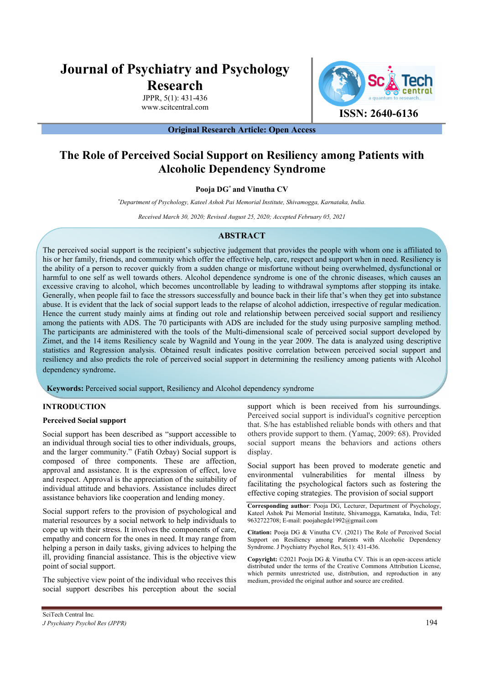# **Journal of Psychiatry and Psychology Research**

JPPR, (): 4-43 www.scitcentral.com



**ISSN: 2640-6136**

**Original Research Article: Open Access** 

# **The Role of Perceived Social Support on Resiliency among Patients with Alcoholic Dependency Syndrome**

# **Pooja DG\* and Vinutha CV**

*\* Department of Psychology, Kateel Ashok Pai Memorial Institute, Shivamogga, Karnataka, India.* 

*Received March 30, 2020; Revised August 25, 2020; Accepted February 05, 2021*

# **ABSTRACT**

The perceived social support is the recipient's subjective judgement that provides the people with whom one is affiliated to his or her family, friends, and community which offer the effective help, care, respect and support when in need. Resiliency is the ability of a person to recover quickly from a sudden change or misfortune without being overwhelmed, dysfunctional or harmful to one self as well towards others. Alcohol dependence syndrome is one of the chronic diseases, which causes an excessive craving to alcohol, which becomes uncontrollable by leading to withdrawal symptoms after stopping its intake. Generally, when people fail to face the stressors successfully and bounce back in their life that's when they get into substance abuse. It is evident that the lack of social support leads to the relapse of alcohol addiction, irrespective of regular medication. Hence the current study mainly aims at finding out role and relationship between perceived social support and resiliency among the patients with ADS. The 70 participants with ADS are included for the study using purposive sampling method. The participants are administered with the tools of the Multi-dimensional scale of perceived social support developed by Zimet, and the 14 items Resiliency scale by Wagnild and Young in the year 2009. The data is analyzed using descriptive statistics and Regression analysis. Obtained result indicates positive correlation between perceived social support and resiliency and also predicts the role of perceived social support in determining the resiliency among patients with Alcohol dependency syndrome.

 **Keywords:** Perceived social support, Resiliency and Alcohol dependency syndrome

# **INTRODUCTION**

#### **Perceived Social support**

Social support has been described as "support accessible to an individual through social ties to other individuals, groups, and the larger community." (Fatih Ozbay) Social support is composed of three components. These are affection, approval and assistance. It is the expression of effect, love and respect. Approval is the appreciation of the suitability of individual attitude and behaviors. Assistance includes direct assistance behaviors like cooperation and lending money.

Social support refers to the provision of psychological and material resources by a social network to help individuals to cope up with their stress. It involves the components of care, empathy and concern for the ones in need. It may range from helping a person in daily tasks, giving advices to helping the ill, providing financial assistance. This is the objective view point of social support.

The subjective view point of the individual who receives this social support describes his perception about the social

Social support has been proved to moderate genetic and environmental vulnerabilities for mental illness by facilitating the psychological factors such as fostering the effective coping strategies. The provision of social support

**Corresponding author**: Pooja DG, Lecturer, Department of Psychology, Kateel Ashok Pai Memorial Institute, Shivamogga, Karnataka, India, Tel: 9632722708; E-mail: poojahegde1992@gmail.com

**Citation:** Pooja DG & Vinutha CV. (2021) The Role of Perceived Social Support on Resiliency among Patients with Alcoholic Dependency Syndrome. J Psychiatry Psychol Res, (): 4-43.

**Copyright:** ©2021 Pooja DG & Vinutha CV. This is an open-access article distributed under the terms of the Creative Commons Attribution License, which permits unrestricted use, distribution, and reproduction in any medium, provided the original author and source are credited.

support which is been received from his surroundings. Perceived social support is individual's cognitive perception that. S/he has established reliable bonds with others and that others provide support to them. (Yamaç, 2009: 68). Provided social support means the behaviors and actions others display.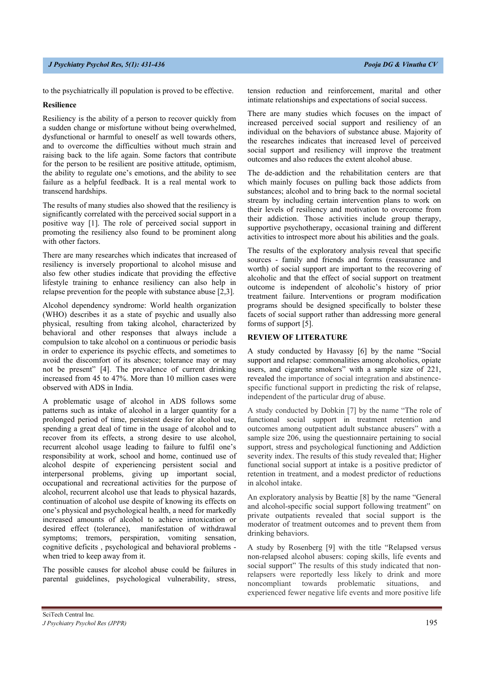to the psychiatrically ill population is proved to be effective.

#### **Resilience**

Resiliency is the ability of a person to recover quickly from a sudden change or misfortune without being overwhelmed, dysfunctional or harmful to oneself as well towards others, and to overcome the difficulties without much strain and raising back to the life again. Some factors that contribute for the person to be resilient are positive attitude, optimism, the ability to regulate one's emotions, and the ability to see failure as a helpful feedback. It is a real mental work to transcend hardships.

The results of many studies also showed that the resiliency is significantly correlated with the perceived social support in a positive way [1]. The role of perceived social support in promoting the resiliency also found to be prominent along with other factors.

There are many researches which indicates that increased of resiliency is inversely proportional to alcohol misuse and also few other studies indicate that providing the effective lifestyle training to enhance resiliency can also help in relapse prevention for the people with substance abuse [2,3].

Alcohol dependency syndrome: World health organization (WHO) describes it as a state of psychic and usually also physical, resulting from taking alcohol, characterized by behavioral and other responses that always include a compulsion to take alcohol on a continuous or periodic basis in order to experience its psychic effects, and sometimes to avoid the discomfort of its absence; tolerance may or may not be present" [4]. The prevalence of current drinking increased from 45 to 47%. More than 10 million cases were observed with ADS in India.

A problematic usage of alcohol in ADS follows some patterns such as intake of alcohol in a larger quantity for a prolonged period of time, persistent desire for alcohol use, spending a great deal of time in the usage of alcohol and to recover from its effects, a strong desire to use alcohol, recurrent alcohol usage leading to failure to fulfil one's responsibility at work, school and home, continued use of alcohol despite of experiencing persistent social and interpersonal problems, giving up important social, occupational and recreational activities for the purpose of alcohol, recurrent alcohol use that leads to physical hazards, continuation of alcohol use despite of knowing its effects on one's physical and psychological health, a need for markedly increased amounts of alcohol to achieve intoxication or desired effect (tolerance), manifestation of withdrawal symptoms; tremors, perspiration, vomiting sensation, cognitive deficits , psychological and behavioral problems when tried to keep away from it.

The possible causes for alcohol abuse could be failures in parental guidelines, psychological vulnerability, stress,

tension reduction and reinforcement, marital and other intimate relationships and expectations of social success.

There are many studies which focuses on the impact of increased perceived social support and resiliency of an individual on the behaviors of substance abuse. Majority of the researches indicates that increased level of perceived social support and resiliency will improve the treatment outcomes and also reduces the extent alcohol abuse.

The de-addiction and the rehabilitation centers are that which mainly focuses on pulling back those addicts from substances; alcohol and to bring back to the normal societal stream by including certain intervention plans to work on their levels of resiliency and motivation to overcome from their addiction. Those activities include group therapy, supportive psychotherapy, occasional training and different activities to introspect more about his abilities and the goals.

The results of the exploratory analysis reveal that specific sources - family and friends and forms (reassurance and worth) of social support are important to the recovering of alcoholic and that the effect of social support on treatment outcome is independent of alcoholic's history of prior treatment failure. Interventions or program modification programs should be designed specifically to bolster these facets of social support rather than addressing more general forms of support [5].

# **REVIEW OF LITERATURE**

A study conducted by Havassy [6] by the name "Social support and relapse: commonalities among alcoholics, opiate users, and cigarette smokers" with a sample size of 221, revealed the importance of social integration and abstinencespecific functional support in predicting the risk of relapse, independent of the particular drug of abuse.

A study conducted by Dobkin [7] by the name "The role of functional social support in treatment retention and outcomes among outpatient adult substance abusers" with a sample size 206, using the questionnaire pertaining to social support, stress and psychological functioning and Addiction severity index. The results of this study revealed that; Higher functional social support at intake is a positive predictor of retention in treatment, and a modest predictor of reductions in alcohol intake.

An exploratory analysis by Beattie [8] by the name "General and alcohol-specific social support following treatment" on private outpatients revealed that social support is the moderator of treatment outcomes and to prevent them from drinking behaviors.

A study by Rosenberg [9] with the title "Relapsed versus non-relapsed alcohol abusers: coping skills, life events and social support" The results of this study indicated that nonrelapsers were reportedly less likely to drink and more noncompliant towards problematic situations, and experienced fewer negative life events and more positive life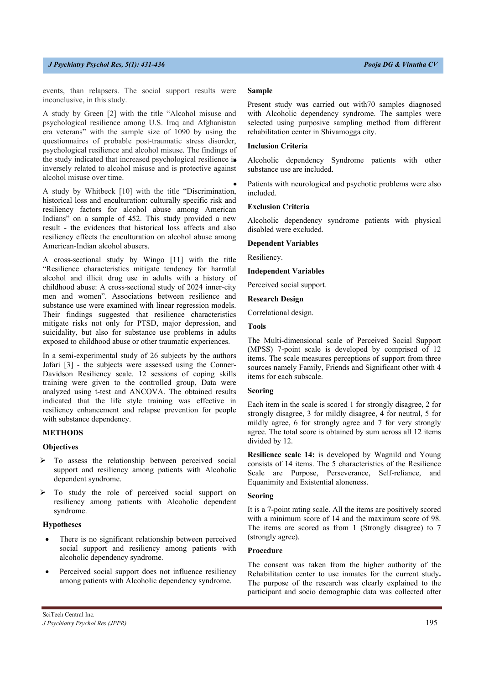#### *J Psychiatry Psychol Res, 4(2): 427-432 Pooja DG & Vinutha CV*

events, than relapsers. The social support results were inconclusive, in this study.

A study by Green [2] with the title "Alcohol misuse and psychological resilience among U.S. Iraq and Afghanistan era veterans" with the sample size of 1090 by using the questionnaires of probable post-traumatic stress disorder, psychological resilience and alcohol misuse. The findings of the study indicated that increased psychological resilience is inversely related to alcohol misuse and is protective against alcohol misuse over time.

A study by Whitbeck [10] with the title "Discrimination, historical loss and enculturation: culturally specific risk and resiliency factors for alcohol abuse among American Indians" on a sample of 452. This study provided a new result - the evidences that historical loss affects and also resiliency effects the enculturation on alcohol abuse among American-Indian alcohol abusers.

A cross-sectional study by Wingo [11] with the title "Resilience characteristics mitigate tendency for harmful alcohol and illicit drug use in adults with a history of childhood abuse: A cross-sectional study of 2024 inner-city men and women". Associations between resilience and substance use were examined with linear regression models. Their findings suggested that resilience characteristics mitigate risks not only for PTSD, major depression, and suicidality, but also for substance use problems in adults exposed to childhood abuse or other traumatic experiences.

In a semi-experimental study of 26 subjects by the authors Jafari [3] - the subjects were assessed using the Conner-Davidson Resiliency scale. 12 sessions of coping skills training were given to the controlled group, Data were analyzed using t-test and ANCOVA. The obtained results indicated that the life style training was effective in resiliency enhancement and relapse prevention for people with substance dependency.

#### **METHODS**

#### **Objectives**

- To assess the relationship between perceived social support and resiliency among patients with Alcoholic dependent syndrome.
- To study the role of perceived social support on resiliency among patients with Alcoholic dependent syndrome.

#### **Hypotheses**

- There is no significant relationship between perceived social support and resiliency among patients with alcoholic dependency syndrome.
- Perceived social support does not influence resiliency among patients with Alcoholic dependency syndrome.

#### **Sample**

Present study was carried out with70 samples diagnosed with Alcoholic dependency syndrome. The samples were selected using purposive sampling method from different rehabilitation center in Shivamogga city.

#### **Inclusion Criteria**

 Alcoholic dependency Syndrome patients with other substance use are included.

 Patients with neurological and psychotic problems were also included.

#### **Exclusion Criteria**

Alcoholic dependency syndrome patients with physical disabled were excluded.

**Dependent Variables**

Resiliency.

#### **Independent Variables**

Perceived social support.

#### **Research Design**

Correlational design.

# **Tools**

The Multi-dimensional scale of Perceived Social Support (MPSS) 7-point scale is developed by comprised of 12 items. The scale measures perceptions of support from three sources namely Family, Friends and Significant other with 4 items for each subscale.

#### **Scoring**

Each item in the scale is scored 1 for strongly disagree, 2 for strongly disagree, 3 for mildly disagree, 4 for neutral, 5 for mildly agree, 6 for strongly agree and 7 for very strongly agree. The total score is obtained by sum across all 12 items divided by 12.

**Resilience scale 14:** is developed by Wagnild and Young consists of 14 items. The 5 characteristics of the Resilience Scale are Purpose, Perseverance, Self-reliance, and Equanimity and Existential aloneness.

#### **Scoring**

It is a 7-point rating scale. All the items are positively scored with a minimum score of 14 and the maximum score of 98. The items are scored as from 1 (Strongly disagree) to 7 (strongly agree).

#### **Procedure**

The consent was taken from the higher authority of the Rehabilitation center to use inmates for the current study**.** The purpose of the research was clearly explained to the participant and socio demographic data was collected after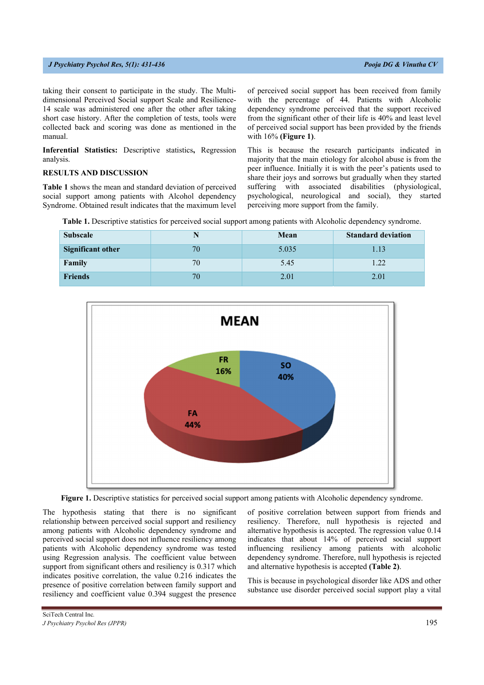#### *J Psychiatry Psychol Res, 4(2): 427-432 Pooja DG & Vinutha CV*

taking their consent to participate in the study. The Multidimensional Perceived Social support Scale and Resilience-14 scale was administered one after the other after taking short case history. After the completion of tests, tools were collected back and scoring was done as mentioned in the manual.

**Inferential Statistics:** Descriptive statistics**,** Regression analysis.

# **RESULTS AND DISCUSSION**

**Table 1** shows the mean and standard deviation of perceived social support among patients with Alcohol dependency Syndrome. Obtained result indicates that the maximum level of perceived social support has been received from family with the percentage of 44. Patients with Alcoholic dependency syndrome perceived that the support received from the significant other of their life is 40% and least level of perceived social support has been provided by the friends with 16% **(Figure 1)**.

This is because the research participants indicated in majority that the main etiology for alcohol abuse is from the peer influence. Initially it is with the peer's patients used to share their joys and sorrows but gradually when they started suffering with associated disabilities (physiological, psychological, neurological and social), they started perceiving more support from the family.

**Table 1.** Descriptive statistics for perceived social support among patients with Alcoholic dependency syndrome.

| <b>Subscale</b>          | N  | Mean  | <b>Standard deviation</b> |
|--------------------------|----|-------|---------------------------|
| <b>Significant other</b> | 70 | 5.035 | 1.13                      |
| Family                   | 70 | 5.45  |                           |
| <b>Friends</b>           | 70 | 2.01  | 2.01                      |



**Figure 1.** Descriptive statistics for perceived social support among patients with Alcoholic dependency syndrome.

The hypothesis stating that there is no significant relationship between perceived social support and resiliency among patients with Alcoholic dependency syndrome and perceived social support does not influence resiliency among patients with Alcoholic dependency syndrome was tested using Regression analysis. The coefficient value between support from significant others and resiliency is 0.317 which indicates positive correlation, the value 0.216 indicates the presence of positive correlation between family support and resiliency and coefficient value 0.394 suggest the presence

of positive correlation between support from friends and resiliency. Therefore, null hypothesis is rejected and alternative hypothesis is accepted. The regression value 0.14 indicates that about 14% of perceived social support influencing resiliency among patients with alcoholic dependency syndrome. Therefore, null hypothesis is rejected and alternative hypothesis is accepted **(Table 2)**.

This is because in psychological disorder like ADS and other substance use disorder perceived social support play a vital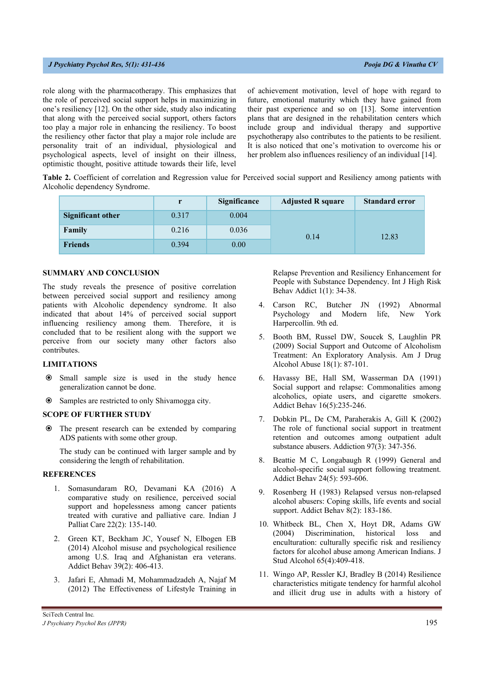#### *J Psychiatry Psychol Res, 4(2): 427-432 Pooja DG & Vinutha CV*

role along with the pharmacotherapy. This emphasizes that the role of perceived social support helps in maximizing in one's resiliency [12]. On the other side, study also indicating that along with the perceived social support, others factors too play a major role in enhancing the resiliency. To boost the resiliency other factor that play a major role include are personality trait of an individual, physiological and psychological aspects, level of insight on their illness, optimistic thought, positive attitude towards their life, level of achievement motivation, level of hope with regard to future, emotional maturity which they have gained from their past experience and so on [13]. Some intervention plans that are designed in the rehabilitation centers which include group and individual therapy and supportive psychotherapy also contributes to the patients to be resilient. It is also noticed that one's motivation to overcome his or her problem also influences resiliency of an individual [14].

**Table 2.** Coefficient of correlation and Regression value for Perceived social support and Resiliency among patients with Alcoholic dependency Syndrome.

|                   |       | <b>Significance</b> | <b>Adjusted R square</b> | <b>Standard error</b> |
|-------------------|-------|---------------------|--------------------------|-----------------------|
| Significant other | 0.317 | 0.004               |                          |                       |
| Family            | 0.216 | 0.036               | 0.14                     | 12.83                 |
| <b>Friends</b>    | 0.394 | 0.00                |                          |                       |

# **SUMMARY AND CONCLUSION**

The study reveals the presence of positive correlation between perceived social support and resiliency among patients with Alcoholic dependency syndrome. It also indicated that about 14% of perceived social support influencing resiliency among them. Therefore, it is concluded that to be resilient along with the support we perceive from our society many other factors also contributes.

#### **LIMITATIONS**

- Small sample size is used in the study hence generalization cannot be done.
- Samples are restricted to only Shivamogga city.

#### **SCOPE OF FURTHER STUDY**

 The present research can be extended by comparing ADS patients with some other group.

The study can be continued with larger sample and by considering the length of rehabilitation.

#### **REFERENCES**

- 1. Somasundaram RO, Devamani KA (2016) A comparative study on resilience, perceived social support and hopelessness among cancer patients treated with curative and palliative care. Indian J Palliat Care 22(2): 135-140.
- 2. Green KT, Beckham JC, Yousef N, Elbogen EB (2014) Alcohol misuse and psychological resilience among U.S. Iraq and Afghanistan era veterans. Addict Behav 39(2): 406-413.
- 3. Jafari E, Ahmadi M, Mohammadzadeh A, Najaf M (2012) The Effectiveness of Lifestyle Training in

Relapse Prevention and Resiliency Enhancement for People with Substance Dependency. Int J High Risk Behav Addict 1(1): 34-38.

- 4. Carson RC, Butcher JN (1992) Abnormal Psychology and Modern life, New York Harpercollin. 9th ed.
- 5. Booth BM, Russel DW, Soucek S, Laughlin PR (2009) Social Support and Outcome of Alcoholism Treatment: An Exploratory Analysis. Am J Drug Alcohol Abuse 18(1): 87-101.
- 6. Havassy BE, Hall SM, Wasserman DA (1991) Social support and relapse: Commonalities among alcoholics, opiate users, and cigarette smokers. Addict Behav 16(5):235-246.
- 7. Dobkin PL, De CM, Paraherakis A, Gill K (2002) The role of functional social support in treatment retention and outcomes among outpatient adult substance abusers. Addiction 97(3): 347-356.
- 8. Beattie M C, Longabaugh R (1999) General and alcohol-specific social support following treatment. Addict Behav 24(5): 593-606.
- 9. Rosenberg H (1983) Relapsed versus non-relapsed alcohol abusers: Coping skills, life events and social support. Addict Behav 8(2): 183-186.
- 10. Whitbeck BL, Chen X, Hoyt DR, Adams GW (2004) Discrimination, historical loss and enculturation: culturally specific risk and resiliency factors for alcohol abuse among American Indians. J Stud Alcohol 65(4):409-418.
- 11. Wingo AP, Ressler KJ, Bradley B (2014) Resilience characteristics mitigate tendency for harmful alcohol and illicit drug use in adults with a history of